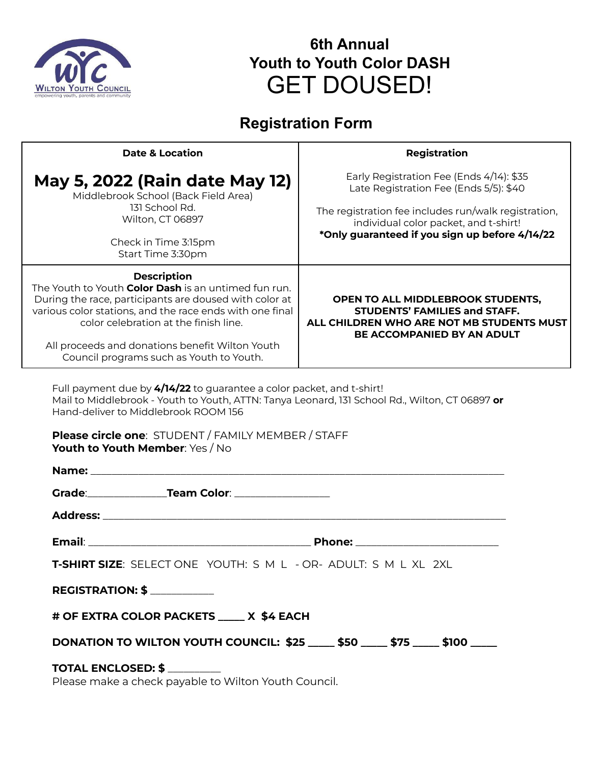

# **6th Annual Youth to Youth Color DASH** GET DOUSED!

## **Registration Form**

| <b>Date &amp; Location</b>                                                                                                                                                                                                                                                                                                               | Registration                                                                                                                                                                                                                          |
|------------------------------------------------------------------------------------------------------------------------------------------------------------------------------------------------------------------------------------------------------------------------------------------------------------------------------------------|---------------------------------------------------------------------------------------------------------------------------------------------------------------------------------------------------------------------------------------|
| <b>May 5, 2022 (Rain date May 12)</b><br>Middlebrook School (Back Field Area)<br>131 School Rd.<br>Wilton, CT 06897                                                                                                                                                                                                                      | Early Registration Fee (Ends 4/14): \$35<br>Late Registration Fee (Ends 5/5): \$40<br>The registration fee includes run/walk registration,<br>individual color packet, and t-shirt!<br>*Only guaranteed if you sign up before 4/14/22 |
| Check in Time 3:15pm<br>Start Time 3:30pm                                                                                                                                                                                                                                                                                                |                                                                                                                                                                                                                                       |
| <b>Description</b><br>The Youth to Youth Color Dash is an untimed fun run.<br>During the race, participants are doused with color at<br>various color stations, and the race ends with one final<br>color celebration at the finish line.<br>All proceeds and donations benefit Wilton Youth<br>Council programs such as Youth to Youth. | OPEN TO ALL MIDDLEBROOK STUDENTS,<br><b>STUDENTS' FAMILIES and STAFF.</b><br>ALL CHILDREN WHO ARE NOT MB STUDENTS MUST<br>BE ACCOMPANIED BY AN ADULT                                                                                  |
| Full payment due by 4/14/22 to guarantee a color packet, and t-shirt!<br>Mail to Middlebrook - Youth to Youth, ATTN: Tanya Leonard, 131 School Rd., Wilton, CT 06897 or<br>Hand-deliver to Middlebrook ROOM 156<br><b>Please circle one: STUDENT / FAMILY MEMBER / STAFF</b><br>Youth to Youth Member: Yes / No                          |                                                                                                                                                                                                                                       |
|                                                                                                                                                                                                                                                                                                                                          |                                                                                                                                                                                                                                       |
|                                                                                                                                                                                                                                                                                                                                          |                                                                                                                                                                                                                                       |
| <b>Phone:</b><br><b>Email:</b>                                                                                                                                                                                                                                                                                                           |                                                                                                                                                                                                                                       |
| T-SHIRT SIZE: SELECT ONE YOUTH: S M L - OR- ADULT: S M L XL 2XL                                                                                                                                                                                                                                                                          |                                                                                                                                                                                                                                       |
| <b>REGISTRATION: \$</b> __________                                                                                                                                                                                                                                                                                                       |                                                                                                                                                                                                                                       |
| # OF EXTRA COLOR PACKETS _____ X \$4 EACH                                                                                                                                                                                                                                                                                                |                                                                                                                                                                                                                                       |
| DONATION TO WILTON YOUTH COUNCIL: \$25 ____ \$50 ____ \$75 ____ \$100 ____                                                                                                                                                                                                                                                               |                                                                                                                                                                                                                                       |
| TOTAL ENCLOSED: \$<br>Dlogse make a shesk payable to Wilton Youth Council                                                                                                                                                                                                                                                                |                                                                                                                                                                                                                                       |

Please make a check payable to Wilton Youth Council.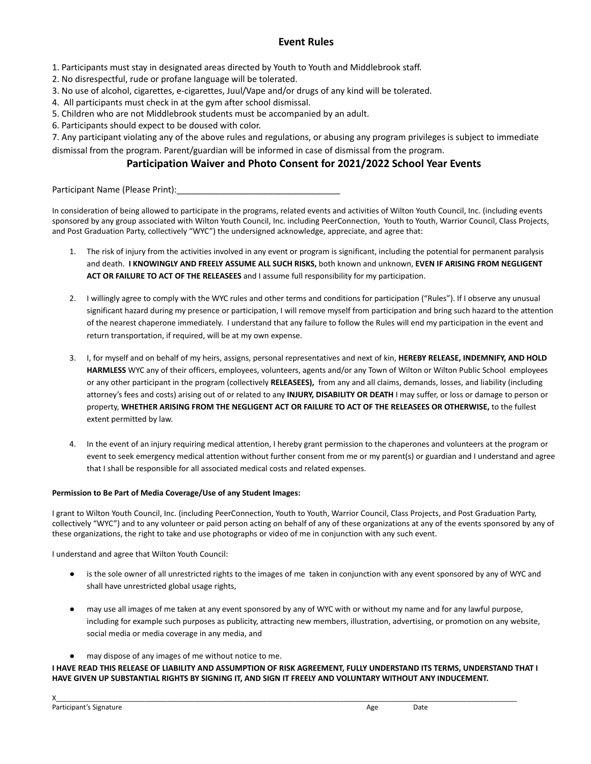## **Event Rules**

- 1. Participants must stay in designated areas directed by Youth to Youth and Middlebrook staff.
- 2. No disrespectful, rude or profane language will be tolerated.
- 3. No use of alcohol, cigarettes, e-cigarettes, Juul/Vape and/or drugs of any kind will be tolerated.
- 4. All participants must check in at the gym after school dismissal.
- 5. Children who are not Middlebrook students must be accompanied by an adult.
- 6. Participants should expect to be doused with color.

7. Any participant violating any of the above rules and regulations, or abusing any program privileges is subject to immediate dismissal from the program. Parent/guardian will be informed in case of dismissal from the program.

## **Participation Waiver and Photo Consent for 2021/2022 School Year Events**

Participant Name (Please Print):

In consideration of being allowed to participate in the programs, related events and activities of Wilton Youth Council, Inc. (including events sponsored by any group associated with Wilton Youth Council, Inc. including PeerConnection, Youth to Youth, Warrior Council, Class Projects, and Post Graduation Party, collectively "WYC") the undersigned acknowledge, appreciate, and agree that:

- 1. The risk of injury from the activities involved in any event or program is significant, including the potential for permanent paralysis and death. **I KNOWINGLY AND FREELY ASSUME ALL SUCH RISKS,** both known and unknown, **EVEN IF ARISING FROM NEGLIGENT ACT OR FAILURE TO ACT OF THE RELEASEES** and I assume full responsibility for my participation.
- 2. I willingly agree to comply with the WYC rules and other terms and conditions for participation ("Rules"). If I observe any unusual significant hazard during my presence or participation, I will remove myself from participation and bring such hazard to the attention of the nearest chaperone immediately. I understand that any failure to follow the Rules will end my participation in the event and return transportation, if required, will be at my own expense.
- 3. I, for myself and on behalf of my heirs, assigns, personal representatives and next of kin, **HEREBY RELEASE, INDEMNIFY, AND HOLD HARMLESS** WYC any of their officers, employees, volunteers, agents and/or any Town of Wilton or Wilton Public School employees or any other participant in the program (collectively **RELEASEES),** from any and all claims, demands, losses, and liability (including attorney's fees and costs) arising out of or related to any **INJURY, DISABILITY OR DEATH** I may suffer, or loss or damage to person or property, **WHETHER ARISING FROM THE NEGLIGENT ACT OR FAILURE TO ACT OF THE RELEASEES OR OTHERWISE,** to the fullest extent permitted by law.
- 4. In the event of an injury requiring medical attention, I hereby grant permission to the chaperones and volunteers at the program or event to seek emergency medical attention without further consent from me or my parent(s) or guardian and I understand and agree that I shall be responsible for all associated medical costs and related expenses.

### **Permission to Be Part of Media Coverage/Use of any Student Images:**

I grant to Wilton Youth Council, Inc. (including PeerConnection, Youth to Youth, Warrior Council, Class Projects, and Post Graduation Party, collectively "WYC") and to any volunteer or paid person acting on behalf of any of these organizations at any of the events sponsored by any of these organizations, the right to take and use photographs or video of me in conjunction with any such event.

I understand and agree that Wilton Youth Council:

- is the sole owner of all unrestricted rights to the images of me taken in conjunction with any event sponsored by any of WYC and shall have unrestricted global usage rights,
- may use all images of me taken at any event sponsored by any of WYC with or without my name and for any lawful purpose, including for example such purposes as publicity, attracting new members, illustration, advertising, or promotion on any website, social media or media coverage in any media, and
- may dispose of any images of me without notice to me.

### **I HAVE READ THIS RELEASE OF LIABILITY AND ASSUMPTION OF RISK AGREEMENT, FULLY UNDERSTAND ITS TERMS, UNDERSTAND THAT I HAVE GIVEN UP SUBSTANTIAL RIGHTS BY SIGNING IT, AND SIGN IT FREELY AND VOLUNTARY WITHOUT ANY INDUCEMENT.**